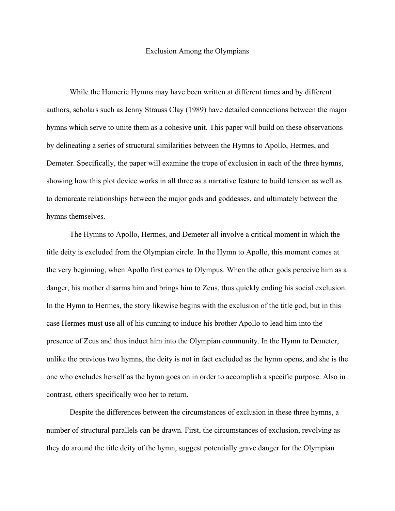## Exclusion Among the Olympians

While the Homeric Hymns may have been written at different times and by different authors, scholars such as Jenny Strauss Clay (1989) have detailed connections between the major hymns which serve to unite them as a cohesive unit. This paper will build on these observations by delineating a series of structural similarities between the Hymns to Apollo, Hermes, and Demeter. Specifically, the paper will examine the trope of exclusion in each of the three hymns, showing how this plot device works in all three as a narrative feature to build tension as well as to demarcate relationships between the major gods and goddesses, and ultimately between the hymns themselves.

The Hymns to Apollo, Hermes, and Demeter all involve a critical moment in which the title deity is excluded from the Olympian circle. In the Hymn to Apollo, this moment comes at the very beginning, when Apollo first comes to Olympus. When the other gods perceive him as a danger, his mother disarms him and brings him to Zeus, thus quickly ending his social exclusion. In the Hymn to Hermes, the story likewise begins with the exclusion of the title god, but in this case Hermes must use all of his cunning to induce his brother Apollo to lead him into the presence of Zeus and thus induct him into the Olympian community. In the Hymn to Demeter, unlike the previous two hymns, the deity is not in fact excluded as the hymn opens, and she is the one who excludes herself as the hymn goes on in order to accomplish a specific purpose. Also in contrast, others specifically woo her to return.

Despite the differences between the circumstances of exclusion in these three hymns, a number of structural parallels can be drawn. First, the circumstances of exclusion, revolving as they do around the title deity of the hymn, suggest potentially grave danger for the Olympian